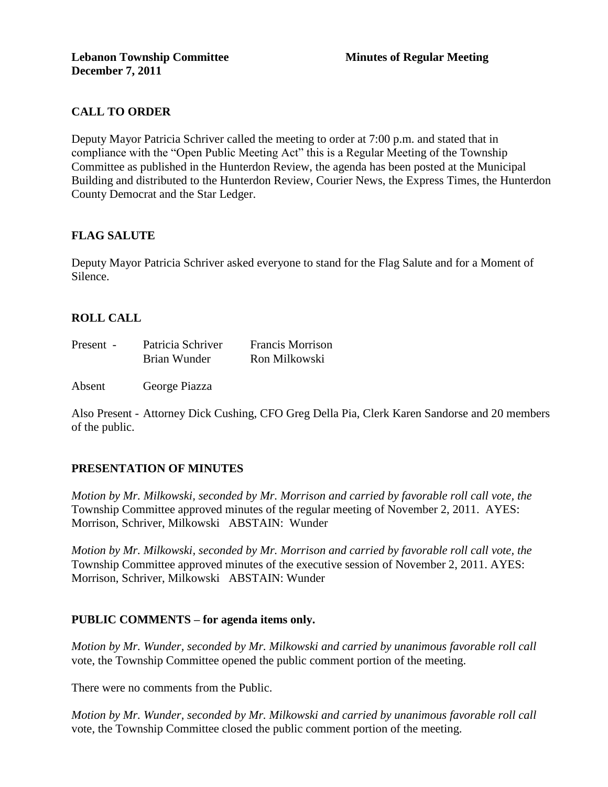# **CALL TO ORDER**

Deputy Mayor Patricia Schriver called the meeting to order at 7:00 p.m. and stated that in compliance with the "Open Public Meeting Act" this is a Regular Meeting of the Township Committee as published in the Hunterdon Review, the agenda has been posted at the Municipal Building and distributed to the Hunterdon Review, Courier News, the Express Times, the Hunterdon County Democrat and the Star Ledger.

# **FLAG SALUTE**

Deputy Mayor Patricia Schriver asked everyone to stand for the Flag Salute and for a Moment of Silence.

# **ROLL CALL**

| Present - | Patricia Schriver | <b>Francis Morrison</b> |
|-----------|-------------------|-------------------------|
|           | Brian Wunder      | Ron Milkowski           |

Absent George Piazza

Also Present - Attorney Dick Cushing, CFO Greg Della Pia, Clerk Karen Sandorse and 20 members of the public.

#### **PRESENTATION OF MINUTES**

*Motion by Mr. Milkowski, seconded by Mr. Morrison and carried by favorable roll call vote, the* Township Committee approved minutes of the regular meeting of November 2, 2011. AYES: Morrison, Schriver, Milkowski ABSTAIN: Wunder

*Motion by Mr. Milkowski, seconded by Mr. Morrison and carried by favorable roll call vote, the* Township Committee approved minutes of the executive session of November 2, 2011. AYES: Morrison, Schriver, Milkowski ABSTAIN: Wunder

#### **PUBLIC COMMENTS – for agenda items only.**

*Motion by Mr. Wunder, seconded by Mr. Milkowski and carried by unanimous favorable roll call*  vote, the Township Committee opened the public comment portion of the meeting.

There were no comments from the Public.

*Motion by Mr. Wunder, seconded by Mr. Milkowski and carried by unanimous favorable roll call*  vote, the Township Committee closed the public comment portion of the meeting.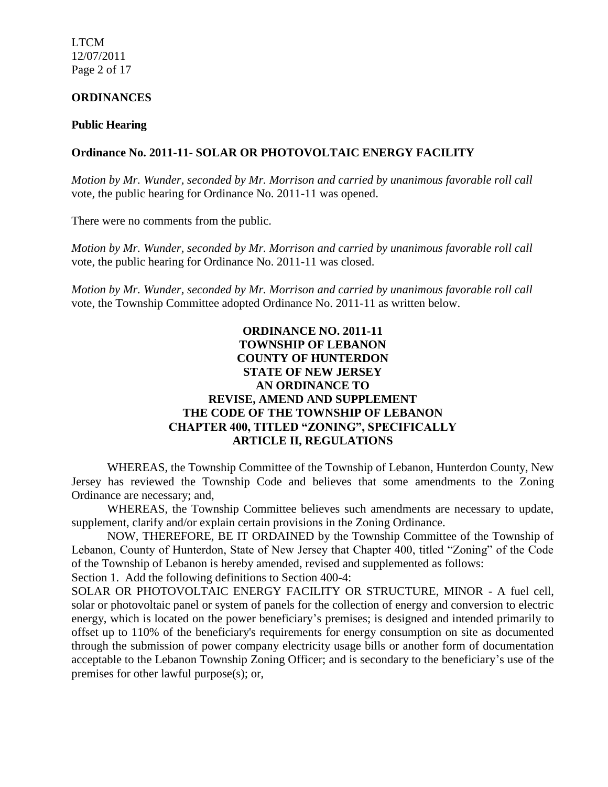LTCM 12/07/2011 Page 2 of 17

# **ORDINANCES**

#### **Public Hearing**

#### **Ordinance No. 2011-11- SOLAR OR PHOTOVOLTAIC ENERGY FACILITY**

*Motion by Mr. Wunder, seconded by Mr. Morrison and carried by unanimous favorable roll call*  vote*,* the public hearing for Ordinance No. 2011-11 was opened.

There were no comments from the public.

*Motion by Mr. Wunder, seconded by Mr. Morrison and carried by unanimous favorable roll call*  vote, the public hearing for Ordinance No. 2011-11 was closed.

*Motion by Mr. Wunder, seconded by Mr. Morrison and carried by unanimous favorable roll call*  vote, the Township Committee adopted Ordinance No. 2011-11 as written below.

# **ORDINANCE NO. 2011-11 TOWNSHIP OF LEBANON COUNTY OF HUNTERDON STATE OF NEW JERSEY AN ORDINANCE TO REVISE, AMEND AND SUPPLEMENT THE CODE OF THE TOWNSHIP OF LEBANON CHAPTER 400, TITLED "ZONING", SPECIFICALLY ARTICLE II, REGULATIONS**

WHEREAS, the Township Committee of the Township of Lebanon, Hunterdon County, New Jersey has reviewed the Township Code and believes that some amendments to the Zoning Ordinance are necessary; and,

WHEREAS, the Township Committee believes such amendments are necessary to update, supplement, clarify and/or explain certain provisions in the Zoning Ordinance.

NOW, THEREFORE, BE IT ORDAINED by the Township Committee of the Township of Lebanon, County of Hunterdon, State of New Jersey that Chapter 400, titled "Zoning" of the Code of the Township of Lebanon is hereby amended, revised and supplemented as follows:

Section 1. Add the following definitions to Section 400-4:

SOLAR OR PHOTOVOLTAIC ENERGY FACILITY OR STRUCTURE, MINOR - A fuel cell, solar or photovoltaic panel or system of panels for the collection of energy and conversion to electric energy, which is located on the power beneficiary's premises; is designed and intended primarily to offset up to 110% of the beneficiary's requirements for energy consumption on site as documented through the submission of power company electricity usage bills or another form of documentation acceptable to the Lebanon Township Zoning Officer; and is secondary to the beneficiary's use of the premises for other lawful purpose(s); or,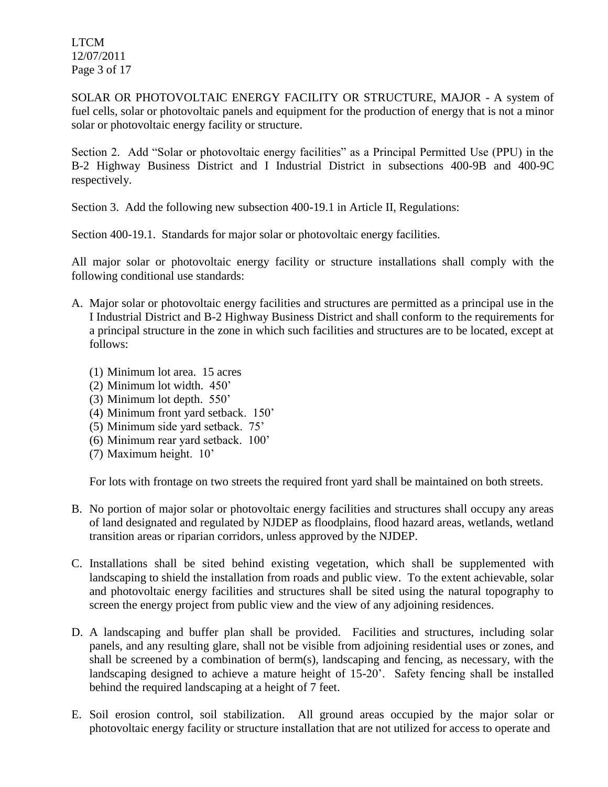LTCM 12/07/2011 Page 3 of 17

SOLAR OR PHOTOVOLTAIC ENERGY FACILITY OR STRUCTURE, MAJOR - A system of fuel cells, solar or photovoltaic panels and equipment for the production of energy that is not a minor solar or photovoltaic energy facility or structure.

Section 2. Add "Solar or photovoltaic energy facilities" as a Principal Permitted Use (PPU) in the B-2 Highway Business District and I Industrial District in subsections 400-9B and 400-9C respectively.

Section 3. Add the following new subsection 400-19.1 in Article II, Regulations:

Section 400-19.1. Standards for major solar or photovoltaic energy facilities.

All major solar or photovoltaic energy facility or structure installations shall comply with the following conditional use standards:

- A. Major solar or photovoltaic energy facilities and structures are permitted as a principal use in the I Industrial District and B-2 Highway Business District and shall conform to the requirements for a principal structure in the zone in which such facilities and structures are to be located, except at follows:
	- (1) Minimum lot area. 15 acres
	- (2) Minimum lot width. 450'
	- (3) Minimum lot depth. 550'
	- (4) Minimum front yard setback. 150'
	- (5) Minimum side yard setback. 75'
	- (6) Minimum rear yard setback. 100'
	- (7) Maximum height. 10'

For lots with frontage on two streets the required front yard shall be maintained on both streets.

- B. No portion of major solar or photovoltaic energy facilities and structures shall occupy any areas of land designated and regulated by NJDEP as floodplains, flood hazard areas, wetlands, wetland transition areas or riparian corridors, unless approved by the NJDEP.
- C. Installations shall be sited behind existing vegetation, which shall be supplemented with landscaping to shield the installation from roads and public view. To the extent achievable, solar and photovoltaic energy facilities and structures shall be sited using the natural topography to screen the energy project from public view and the view of any adjoining residences.
- D. A landscaping and buffer plan shall be provided. Facilities and structures, including solar panels, and any resulting glare, shall not be visible from adjoining residential uses or zones, and shall be screened by a combination of berm(s), landscaping and fencing, as necessary, with the landscaping designed to achieve a mature height of 15-20'. Safety fencing shall be installed behind the required landscaping at a height of 7 feet.
- E. Soil erosion control, soil stabilization. All ground areas occupied by the major solar or photovoltaic energy facility or structure installation that are not utilized for access to operate and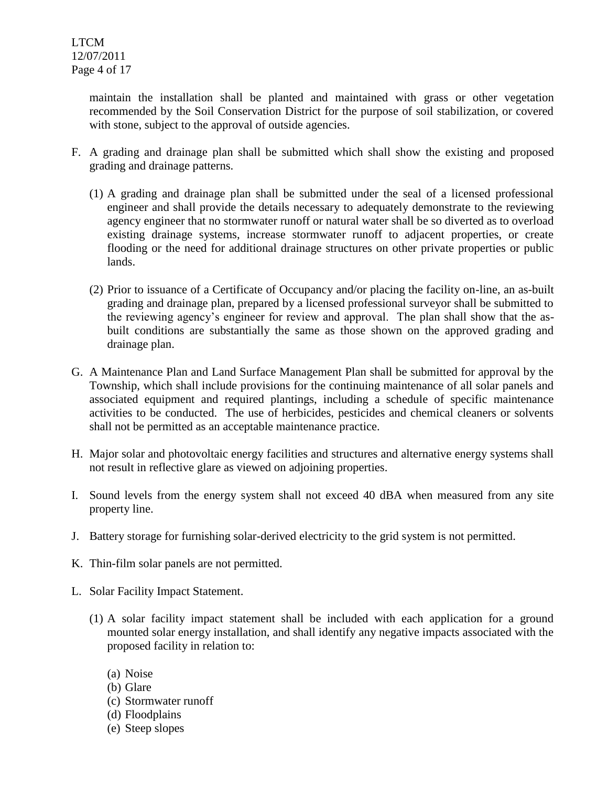maintain the installation shall be planted and maintained with grass or other vegetation recommended by the Soil Conservation District for the purpose of soil stabilization, or covered with stone, subject to the approval of outside agencies.

- F. A grading and drainage plan shall be submitted which shall show the existing and proposed grading and drainage patterns.
	- (1) A grading and drainage plan shall be submitted under the seal of a licensed professional engineer and shall provide the details necessary to adequately demonstrate to the reviewing agency engineer that no stormwater runoff or natural water shall be so diverted as to overload existing drainage systems, increase stormwater runoff to adjacent properties, or create flooding or the need for additional drainage structures on other private properties or public lands.
	- (2) Prior to issuance of a Certificate of Occupancy and/or placing the facility on-line, an as-built grading and drainage plan, prepared by a licensed professional surveyor shall be submitted to the reviewing agency's engineer for review and approval. The plan shall show that the asbuilt conditions are substantially the same as those shown on the approved grading and drainage plan.
- G. A Maintenance Plan and Land Surface Management Plan shall be submitted for approval by the Township, which shall include provisions for the continuing maintenance of all solar panels and associated equipment and required plantings, including a schedule of specific maintenance activities to be conducted. The use of herbicides, pesticides and chemical cleaners or solvents shall not be permitted as an acceptable maintenance practice.
- H. Major solar and photovoltaic energy facilities and structures and alternative energy systems shall not result in reflective glare as viewed on adjoining properties.
- I. Sound levels from the energy system shall not exceed 40 dBA when measured from any site property line.
- J. Battery storage for furnishing solar-derived electricity to the grid system is not permitted.
- K. Thin-film solar panels are not permitted.
- L. Solar Facility Impact Statement.
	- (1) A solar facility impact statement shall be included with each application for a ground mounted solar energy installation, and shall identify any negative impacts associated with the proposed facility in relation to:
		- (a) Noise
		- (b) Glare
		- (c) Stormwater runoff
		- (d) Floodplains
		- (e) Steep slopes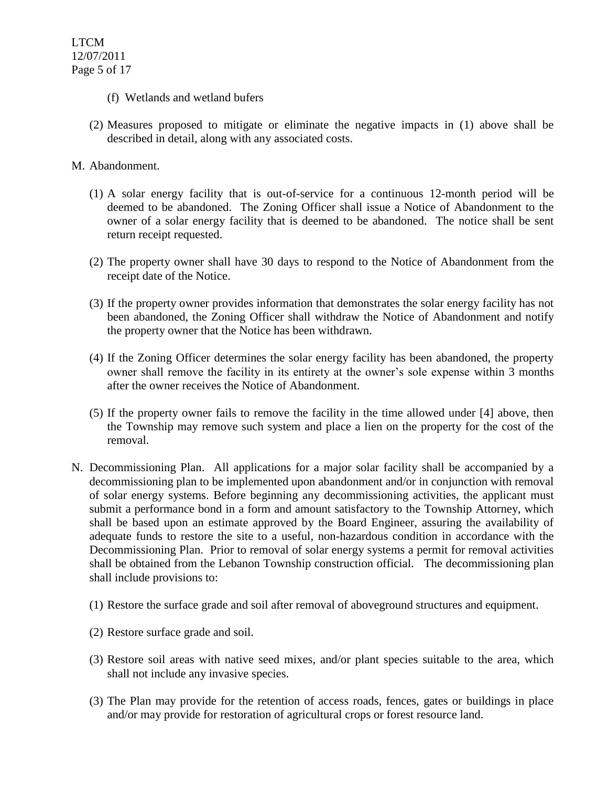- (f) Wetlands and wetland bufers
- (2) Measures proposed to mitigate or eliminate the negative impacts in (1) above shall be described in detail, along with any associated costs.
- M. Abandonment.
	- (1) A solar energy facility that is out-of-service for a continuous 12-month period will be deemed to be abandoned. The Zoning Officer shall issue a Notice of Abandonment to the owner of a solar energy facility that is deemed to be abandoned. The notice shall be sent return receipt requested.
	- (2) The property owner shall have 30 days to respond to the Notice of Abandonment from the receipt date of the Notice.
	- (3) If the property owner provides information that demonstrates the solar energy facility has not been abandoned, the Zoning Officer shall withdraw the Notice of Abandonment and notify the property owner that the Notice has been withdrawn.
	- (4) If the Zoning Officer determines the solar energy facility has been abandoned, the property owner shall remove the facility in its entirety at the owner's sole expense within 3 months after the owner receives the Notice of Abandonment.
	- (5) If the property owner fails to remove the facility in the time allowed under [4] above, then the Township may remove such system and place a lien on the property for the cost of the removal.
- N. Decommissioning Plan. All applications for a major solar facility shall be accompanied by a decommissioning plan to be implemented upon abandonment and/or in conjunction with removal of solar energy systems. Before beginning any decommissioning activities, the applicant must submit a performance bond in a form and amount satisfactory to the Township Attorney, which shall be based upon an estimate approved by the Board Engineer, assuring the availability of adequate funds to restore the site to a useful, non-hazardous condition in accordance with the Decommissioning Plan. Prior to removal of solar energy systems a permit for removal activities shall be obtained from the Lebanon Township construction official. The decommissioning plan shall include provisions to:
	- (1) Restore the surface grade and soil after removal of aboveground structures and equipment.
	- (2) Restore surface grade and soil.
	- (3) Restore soil areas with native seed mixes, and/or plant species suitable to the area, which shall not include any invasive species.
	- (3) The Plan may provide for the retention of access roads, fences, gates or buildings in place and/or may provide for restoration of agricultural crops or forest resource land.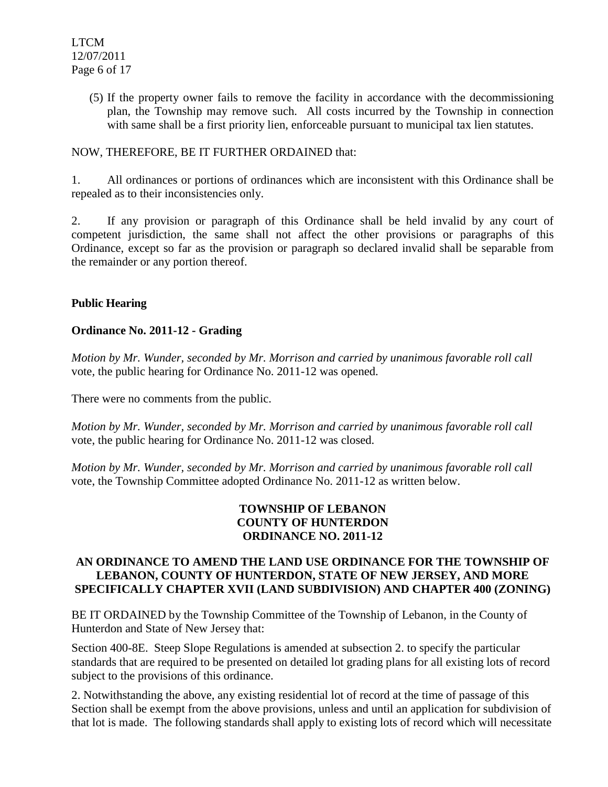(5) If the property owner fails to remove the facility in accordance with the decommissioning plan, the Township may remove such. All costs incurred by the Township in connection with same shall be a first priority lien, enforceable pursuant to municipal tax lien statutes.

# NOW, THEREFORE, BE IT FURTHER ORDAINED that:

1. All ordinances or portions of ordinances which are inconsistent with this Ordinance shall be repealed as to their inconsistencies only.

2. If any provision or paragraph of this Ordinance shall be held invalid by any court of competent jurisdiction, the same shall not affect the other provisions or paragraphs of this Ordinance, except so far as the provision or paragraph so declared invalid shall be separable from the remainder or any portion thereof.

# **Public Hearing**

# **Ordinance No. 2011-12 - Grading**

*Motion by Mr. Wunder, seconded by Mr. Morrison and carried by unanimous favorable roll call*  vote*,* the public hearing for Ordinance No. 2011-12 was opened.

There were no comments from the public.

*Motion by Mr. Wunder, seconded by Mr. Morrison and carried by unanimous favorable roll call*  vote, the public hearing for Ordinance No. 2011-12 was closed.

*Motion by Mr. Wunder, seconded by Mr. Morrison and carried by unanimous favorable roll call*  vote, the Township Committee adopted Ordinance No. 2011-12 as written below.

# **TOWNSHIP OF LEBANON COUNTY OF HUNTERDON ORDINANCE NO. 2011-12**

# **AN ORDINANCE TO AMEND THE LAND USE ORDINANCE FOR THE TOWNSHIP OF LEBANON, COUNTY OF HUNTERDON, STATE OF NEW JERSEY, AND MORE SPECIFICALLY CHAPTER XVII (LAND SUBDIVISION) AND CHAPTER 400 (ZONING)**

BE IT ORDAINED by the Township Committee of the Township of Lebanon, in the County of Hunterdon and State of New Jersey that:

Section 400-8E. Steep Slope Regulations is amended at subsection 2. to specify the particular standards that are required to be presented on detailed lot grading plans for all existing lots of record subject to the provisions of this ordinance.

2. Notwithstanding the above, any existing residential lot of record at the time of passage of this Section shall be exempt from the above provisions, unless and until an application for subdivision of that lot is made. The following standards shall apply to existing lots of record which will necessitate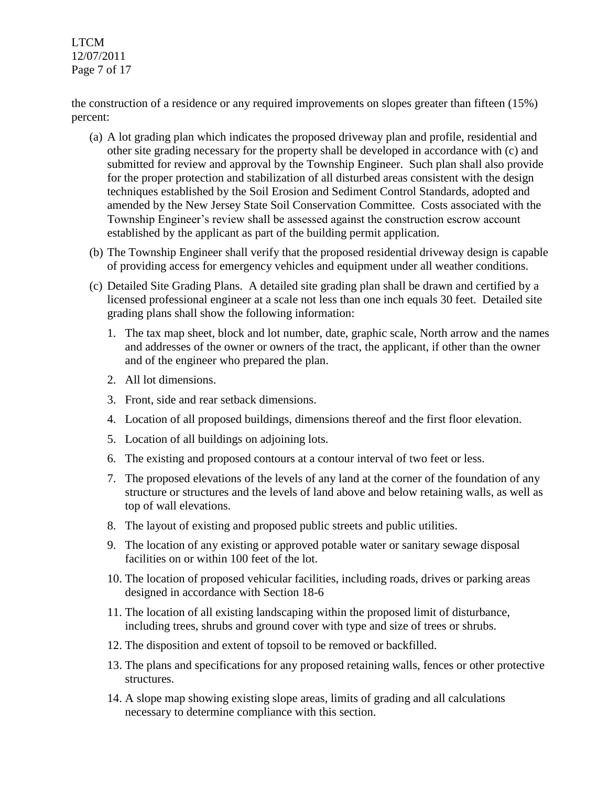LTCM 12/07/2011 Page 7 of 17

the construction of a residence or any required improvements on slopes greater than fifteen (15%) percent:

- (a) A lot grading plan which indicates the proposed driveway plan and profile, residential and other site grading necessary for the property shall be developed in accordance with (c) and submitted for review and approval by the Township Engineer. Such plan shall also provide for the proper protection and stabilization of all disturbed areas consistent with the design techniques established by the Soil Erosion and Sediment Control Standards, adopted and amended by the New Jersey State Soil Conservation Committee. Costs associated with the Township Engineer's review shall be assessed against the construction escrow account established by the applicant as part of the building permit application.
- (b) The Township Engineer shall verify that the proposed residential driveway design is capable of providing access for emergency vehicles and equipment under all weather conditions.
- (c) Detailed Site Grading Plans. A detailed site grading plan shall be drawn and certified by a licensed professional engineer at a scale not less than one inch equals 30 feet. Detailed site grading plans shall show the following information:
	- 1. The tax map sheet, block and lot number, date, graphic scale, North arrow and the names and addresses of the owner or owners of the tract, the applicant, if other than the owner and of the engineer who prepared the plan.
	- 2. All lot dimensions.
	- 3. Front, side and rear setback dimensions.
	- 4. Location of all proposed buildings, dimensions thereof and the first floor elevation.
	- 5. Location of all buildings on adjoining lots.
	- 6. The existing and proposed contours at a contour interval of two feet or less.
	- 7. The proposed elevations of the levels of any land at the corner of the foundation of any structure or structures and the levels of land above and below retaining walls, as well as top of wall elevations.
	- 8. The layout of existing and proposed public streets and public utilities.
	- 9. The location of any existing or approved potable water or sanitary sewage disposal facilities on or within 100 feet of the lot.
	- 10. The location of proposed vehicular facilities, including roads, drives or parking areas designed in accordance with Section 18-6
	- 11. The location of all existing landscaping within the proposed limit of disturbance, including trees, shrubs and ground cover with type and size of trees or shrubs.
	- 12. The disposition and extent of topsoil to be removed or backfilled.
	- 13. The plans and specifications for any proposed retaining walls, fences or other protective structures.
	- 14. A slope map showing existing slope areas, limits of grading and all calculations necessary to determine compliance with this section.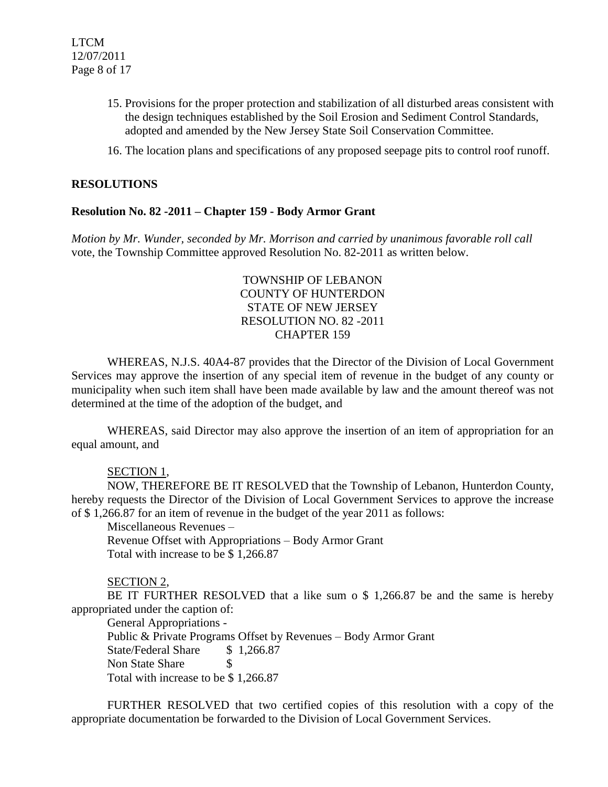- 15. Provisions for the proper protection and stabilization of all disturbed areas consistent with the design techniques established by the Soil Erosion and Sediment Control Standards, adopted and amended by the New Jersey State Soil Conservation Committee.
- 16. The location plans and specifications of any proposed seepage pits to control roof runoff.

#### **RESOLUTIONS**

#### **Resolution No. 82 -2011 – Chapter 159 - Body Armor Grant**

*Motion by Mr. Wunder, seconded by Mr. Morrison and carried by unanimous favorable roll call*  vote, the Township Committee approved Resolution No. 82-2011 as written below.

> TOWNSHIP OF LEBANON COUNTY OF HUNTERDON STATE OF NEW JERSEY RESOLUTION NO. 82 -2011 CHAPTER 159

WHEREAS, N.J.S. 40A4-87 provides that the Director of the Division of Local Government Services may approve the insertion of any special item of revenue in the budget of any county or municipality when such item shall have been made available by law and the amount thereof was not determined at the time of the adoption of the budget, and

WHEREAS, said Director may also approve the insertion of an item of appropriation for an equal amount, and

#### SECTION 1,

NOW, THEREFORE BE IT RESOLVED that the Township of Lebanon, Hunterdon County, hereby requests the Director of the Division of Local Government Services to approve the increase of \$ 1,266.87 for an item of revenue in the budget of the year 2011 as follows:

Miscellaneous Revenues –

Revenue Offset with Appropriations – Body Armor Grant Total with increase to be \$ 1,266.87

#### SECTION 2,

BE IT FURTHER RESOLVED that a like sum o \$ 1,266.87 be and the same is hereby appropriated under the caption of:

General Appropriations -

Public & Private Programs Offset by Revenues – Body Armor Grant State/Federal Share \$1,266.87 Non State Share \$ Total with increase to be \$ 1,266.87

FURTHER RESOLVED that two certified copies of this resolution with a copy of the appropriate documentation be forwarded to the Division of Local Government Services.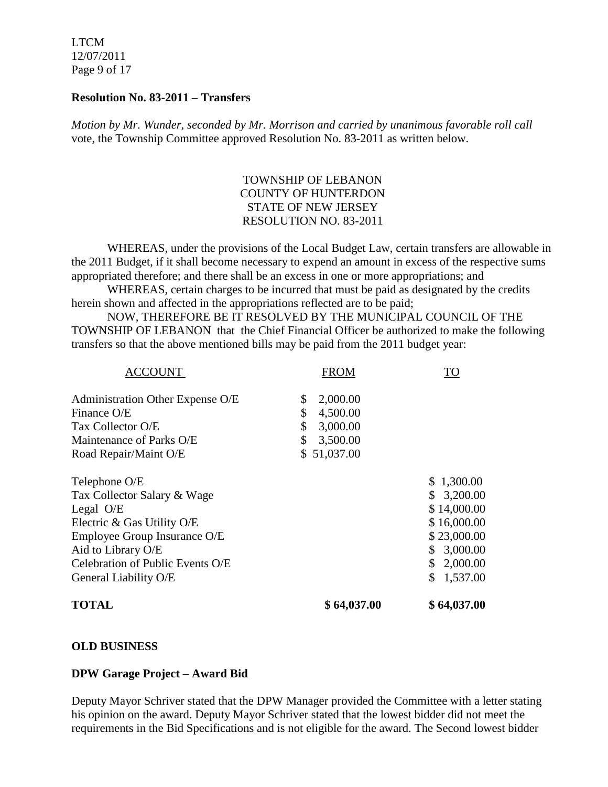LTCM 12/07/2011 Page 9 of 17

#### **Resolution No. 83-2011 – Transfers**

*Motion by Mr. Wunder, seconded by Mr. Morrison and carried by unanimous favorable roll call*  vote, the Township Committee approved Resolution No. 83-2011 as written below.

# TOWNSHIP OF LEBANON COUNTY OF HUNTERDON STATE OF NEW JERSEY RESOLUTION NO. 83-2011

 WHEREAS, under the provisions of the Local Budget Law, certain transfers are allowable in the 2011 Budget, if it shall become necessary to expend an amount in excess of the respective sums appropriated therefore; and there shall be an excess in one or more appropriations; and

WHEREAS, certain charges to be incurred that must be paid as designated by the credits herein shown and affected in the appropriations reflected are to be paid;

 NOW, THEREFORE BE IT RESOLVED BY THE MUNICIPAL COUNCIL OF THE TOWNSHIP OF LEBANON that the Chief Financial Officer be authorized to make the following transfers so that the above mentioned bills may be paid from the 2011 budget year:

| <b>TOTAL</b>                     | \$64,037.00    | \$64,037.00    |
|----------------------------------|----------------|----------------|
| General Liability O/E            |                | 1,537.00       |
| Celebration of Public Events O/E |                | 2,000.00<br>\$ |
| Aid to Library O/E               |                | 3,000.00<br>S. |
| Employee Group Insurance O/E     |                | \$23,000.00    |
| Electric & Gas Utility O/E       |                | \$16,000.00    |
| Legal $O/E$                      |                | \$14,000.00    |
| Tax Collector Salary & Wage      |                | 3,200.00<br>\$ |
| Telephone O/E                    |                | \$1,300.00     |
| Road Repair/Maint O/E            | \$51,037.00    |                |
| Maintenance of Parks O/E         | \$<br>3,500.00 |                |
| Tax Collector O/E                | \$<br>3,000.00 |                |
| Finance O/E                      | \$<br>4,500.00 |                |
| Administration Other Expense O/E | 2,000.00<br>\$ |                |
| ACCOUNT                          | <b>FROM</b>    | <b>TO</b>      |

#### **OLD BUSINESS**

#### **DPW Garage Project – Award Bid**

Deputy Mayor Schriver stated that the DPW Manager provided the Committee with a letter stating his opinion on the award. Deputy Mayor Schriver stated that the lowest bidder did not meet the requirements in the Bid Specifications and is not eligible for the award. The Second lowest bidder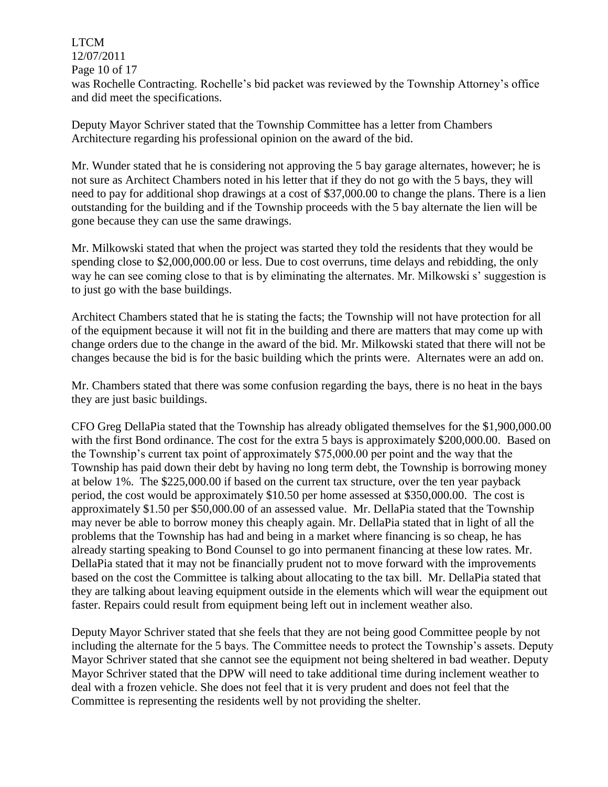#### LTCM 12/07/2011

Page 10 of 17

was Rochelle Contracting. Rochelle's bid packet was reviewed by the Township Attorney's office and did meet the specifications.

Deputy Mayor Schriver stated that the Township Committee has a letter from Chambers Architecture regarding his professional opinion on the award of the bid.

Mr. Wunder stated that he is considering not approving the 5 bay garage alternates, however; he is not sure as Architect Chambers noted in his letter that if they do not go with the 5 bays, they will need to pay for additional shop drawings at a cost of \$37,000.00 to change the plans. There is a lien outstanding for the building and if the Township proceeds with the 5 bay alternate the lien will be gone because they can use the same drawings.

Mr. Milkowski stated that when the project was started they told the residents that they would be spending close to \$2,000,000.00 or less. Due to cost overruns, time delays and rebidding, the only way he can see coming close to that is by eliminating the alternates. Mr. Milkowski s' suggestion is to just go with the base buildings.

Architect Chambers stated that he is stating the facts; the Township will not have protection for all of the equipment because it will not fit in the building and there are matters that may come up with change orders due to the change in the award of the bid. Mr. Milkowski stated that there will not be changes because the bid is for the basic building which the prints were. Alternates were an add on.

Mr. Chambers stated that there was some confusion regarding the bays, there is no heat in the bays they are just basic buildings.

CFO Greg DellaPia stated that the Township has already obligated themselves for the \$1,900,000.00 with the first Bond ordinance. The cost for the extra 5 bays is approximately \$200,000.00. Based on the Township's current tax point of approximately \$75,000.00 per point and the way that the Township has paid down their debt by having no long term debt, the Township is borrowing money at below 1%. The \$225,000.00 if based on the current tax structure, over the ten year payback period, the cost would be approximately \$10.50 per home assessed at \$350,000.00. The cost is approximately \$1.50 per \$50,000.00 of an assessed value. Mr. DellaPia stated that the Township may never be able to borrow money this cheaply again. Mr. DellaPia stated that in light of all the problems that the Township has had and being in a market where financing is so cheap, he has already starting speaking to Bond Counsel to go into permanent financing at these low rates. Mr. DellaPia stated that it may not be financially prudent not to move forward with the improvements based on the cost the Committee is talking about allocating to the tax bill. Mr. DellaPia stated that they are talking about leaving equipment outside in the elements which will wear the equipment out faster. Repairs could result from equipment being left out in inclement weather also.

Deputy Mayor Schriver stated that she feels that they are not being good Committee people by not including the alternate for the 5 bays. The Committee needs to protect the Township's assets. Deputy Mayor Schriver stated that she cannot see the equipment not being sheltered in bad weather. Deputy Mayor Schriver stated that the DPW will need to take additional time during inclement weather to deal with a frozen vehicle. She does not feel that it is very prudent and does not feel that the Committee is representing the residents well by not providing the shelter.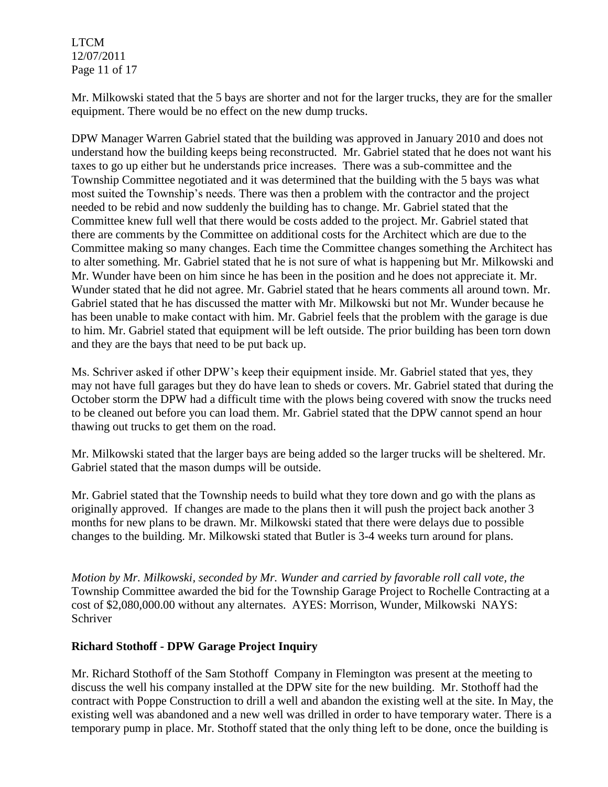LTCM 12/07/2011 Page 11 of 17

Mr. Milkowski stated that the 5 bays are shorter and not for the larger trucks, they are for the smaller equipment. There would be no effect on the new dump trucks.

DPW Manager Warren Gabriel stated that the building was approved in January 2010 and does not understand how the building keeps being reconstructed. Mr. Gabriel stated that he does not want his taxes to go up either but he understands price increases. There was a sub-committee and the Township Committee negotiated and it was determined that the building with the 5 bays was what most suited the Township's needs. There was then a problem with the contractor and the project needed to be rebid and now suddenly the building has to change. Mr. Gabriel stated that the Committee knew full well that there would be costs added to the project. Mr. Gabriel stated that there are comments by the Committee on additional costs for the Architect which are due to the Committee making so many changes. Each time the Committee changes something the Architect has to alter something. Mr. Gabriel stated that he is not sure of what is happening but Mr. Milkowski and Mr. Wunder have been on him since he has been in the position and he does not appreciate it. Mr. Wunder stated that he did not agree. Mr. Gabriel stated that he hears comments all around town. Mr. Gabriel stated that he has discussed the matter with Mr. Milkowski but not Mr. Wunder because he has been unable to make contact with him. Mr. Gabriel feels that the problem with the garage is due to him. Mr. Gabriel stated that equipment will be left outside. The prior building has been torn down and they are the bays that need to be put back up.

Ms. Schriver asked if other DPW's keep their equipment inside. Mr. Gabriel stated that yes, they may not have full garages but they do have lean to sheds or covers. Mr. Gabriel stated that during the October storm the DPW had a difficult time with the plows being covered with snow the trucks need to be cleaned out before you can load them. Mr. Gabriel stated that the DPW cannot spend an hour thawing out trucks to get them on the road.

Mr. Milkowski stated that the larger bays are being added so the larger trucks will be sheltered. Mr. Gabriel stated that the mason dumps will be outside.

Mr. Gabriel stated that the Township needs to build what they tore down and go with the plans as originally approved. If changes are made to the plans then it will push the project back another 3 months for new plans to be drawn. Mr. Milkowski stated that there were delays due to possible changes to the building. Mr. Milkowski stated that Butler is 3-4 weeks turn around for plans.

*Motion by Mr. Milkowski, seconded by Mr. Wunder and carried by favorable roll call vote, the* Township Committee awarded the bid for the Township Garage Project to Rochelle Contracting at a cost of \$2,080,000.00 without any alternates. AYES: Morrison, Wunder, Milkowski NAYS: Schriver

# **Richard Stothoff - DPW Garage Project Inquiry**

Mr. Richard Stothoff of the Sam Stothoff Company in Flemington was present at the meeting to discuss the well his company installed at the DPW site for the new building. Mr. Stothoff had the contract with Poppe Construction to drill a well and abandon the existing well at the site. In May, the existing well was abandoned and a new well was drilled in order to have temporary water. There is a temporary pump in place. Mr. Stothoff stated that the only thing left to be done, once the building is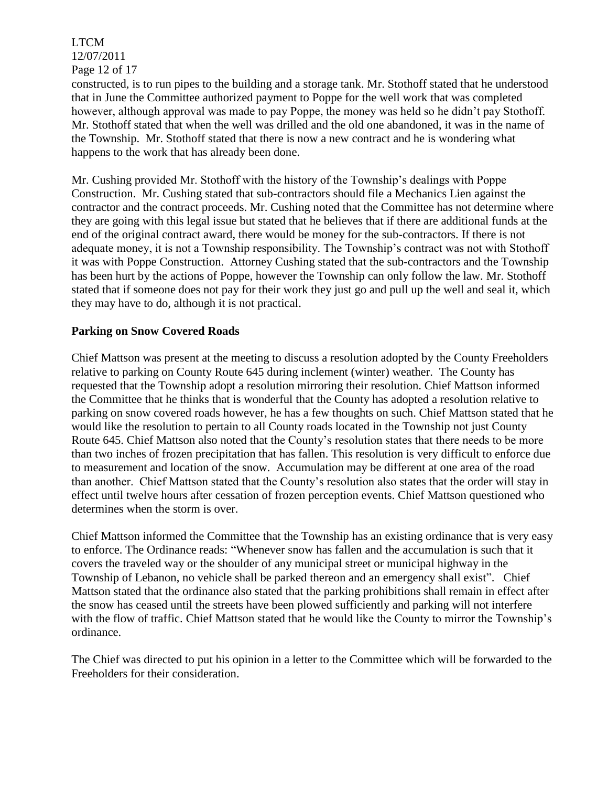LTCM 12/07/2011 Page 12 of 17

constructed, is to run pipes to the building and a storage tank. Mr. Stothoff stated that he understood that in June the Committee authorized payment to Poppe for the well work that was completed however, although approval was made to pay Poppe, the money was held so he didn't pay Stothoff. Mr. Stothoff stated that when the well was drilled and the old one abandoned, it was in the name of the Township. Mr. Stothoff stated that there is now a new contract and he is wondering what happens to the work that has already been done.

Mr. Cushing provided Mr. Stothoff with the history of the Township's dealings with Poppe Construction. Mr. Cushing stated that sub-contractors should file a Mechanics Lien against the contractor and the contract proceeds. Mr. Cushing noted that the Committee has not determine where they are going with this legal issue but stated that he believes that if there are additional funds at the end of the original contract award, there would be money for the sub-contractors. If there is not adequate money, it is not a Township responsibility. The Township's contract was not with Stothoff it was with Poppe Construction. Attorney Cushing stated that the sub-contractors and the Township has been hurt by the actions of Poppe, however the Township can only follow the law. Mr. Stothoff stated that if someone does not pay for their work they just go and pull up the well and seal it, which they may have to do, although it is not practical.

#### **Parking on Snow Covered Roads**

Chief Mattson was present at the meeting to discuss a resolution adopted by the County Freeholders relative to parking on County Route 645 during inclement (winter) weather. The County has requested that the Township adopt a resolution mirroring their resolution. Chief Mattson informed the Committee that he thinks that is wonderful that the County has adopted a resolution relative to parking on snow covered roads however, he has a few thoughts on such. Chief Mattson stated that he would like the resolution to pertain to all County roads located in the Township not just County Route 645. Chief Mattson also noted that the County's resolution states that there needs to be more than two inches of frozen precipitation that has fallen. This resolution is very difficult to enforce due to measurement and location of the snow. Accumulation may be different at one area of the road than another. Chief Mattson stated that the County's resolution also states that the order will stay in effect until twelve hours after cessation of frozen perception events. Chief Mattson questioned who determines when the storm is over.

Chief Mattson informed the Committee that the Township has an existing ordinance that is very easy to enforce. The Ordinance reads: "Whenever snow has fallen and the accumulation is such that it covers the traveled way or the shoulder of any municipal street or municipal highway in the Township of Lebanon, no vehicle shall be parked thereon and an emergency shall exist". Chief Mattson stated that the ordinance also stated that the parking prohibitions shall remain in effect after the snow has ceased until the streets have been plowed sufficiently and parking will not interfere with the flow of traffic. Chief Mattson stated that he would like the County to mirror the Township's ordinance.

The Chief was directed to put his opinion in a letter to the Committee which will be forwarded to the Freeholders for their consideration.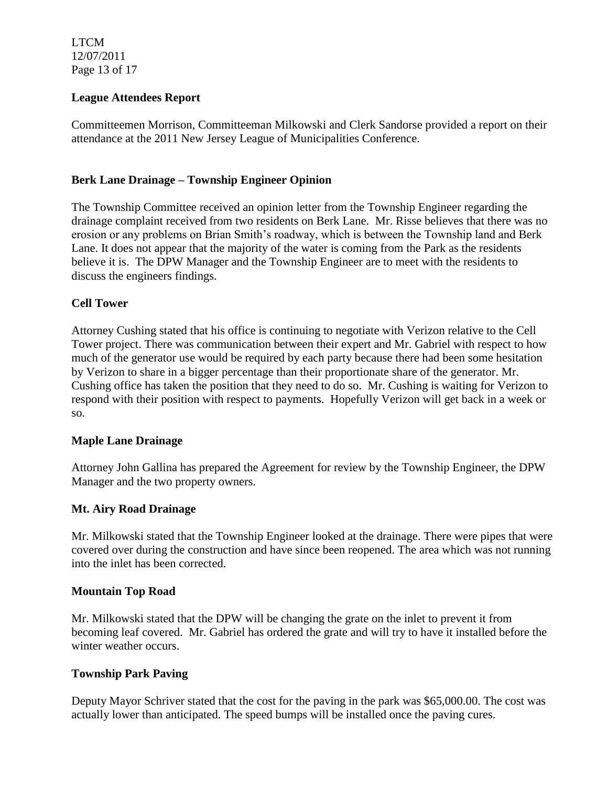LTCM 12/07/2011 Page 13 of 17

# **League Attendees Report**

Committeemen Morrison, Committeeman Milkowski and Clerk Sandorse provided a report on their attendance at the 2011 New Jersey League of Municipalities Conference.

# **Berk Lane Drainage – Township Engineer Opinion**

The Township Committee received an opinion letter from the Township Engineer regarding the drainage complaint received from two residents on Berk Lane. Mr. Risse believes that there was no erosion or any problems on Brian Smith's roadway, which is between the Township land and Berk Lane. It does not appear that the majority of the water is coming from the Park as the residents believe it is. The DPW Manager and the Township Engineer are to meet with the residents to discuss the engineers findings.

# **Cell Tower**

Attorney Cushing stated that his office is continuing to negotiate with Verizon relative to the Cell Tower project. There was communication between their expert and Mr. Gabriel with respect to how much of the generator use would be required by each party because there had been some hesitation by Verizon to share in a bigger percentage than their proportionate share of the generator. Mr. Cushing office has taken the position that they need to do so. Mr. Cushing is waiting for Verizon to respond with their position with respect to payments. Hopefully Verizon will get back in a week or so.

#### **Maple Lane Drainage**

Attorney John Gallina has prepared the Agreement for review by the Township Engineer, the DPW Manager and the two property owners.

#### **Mt. Airy Road Drainage**

Mr. Milkowski stated that the Township Engineer looked at the drainage. There were pipes that were covered over during the construction and have since been reopened. The area which was not running into the inlet has been corrected.

#### **Mountain Top Road**

Mr. Milkowski stated that the DPW will be changing the grate on the inlet to prevent it from becoming leaf covered. Mr. Gabriel has ordered the grate and will try to have it installed before the winter weather occurs.

#### **Township Park Paving**

Deputy Mayor Schriver stated that the cost for the paving in the park was \$65,000.00. The cost was actually lower than anticipated. The speed bumps will be installed once the paving cures.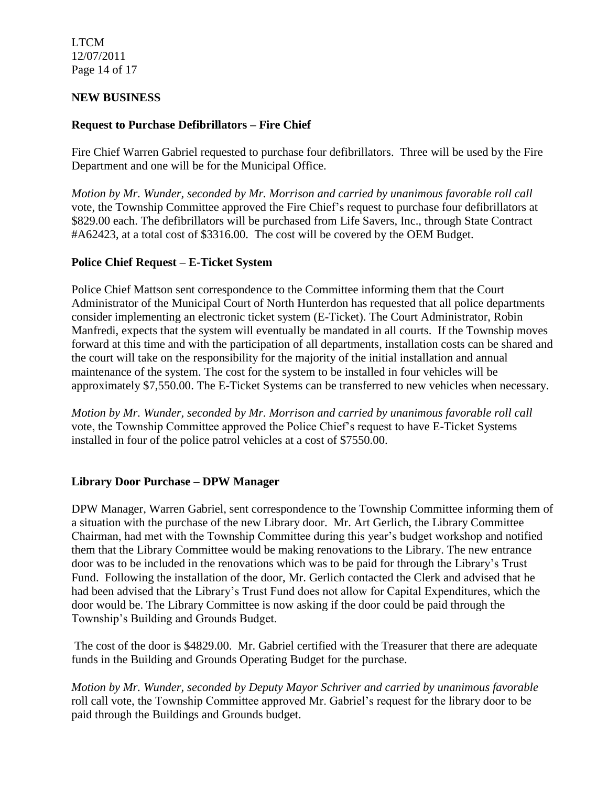LTCM 12/07/2011 Page 14 of 17

## **NEW BUSINESS**

# **Request to Purchase Defibrillators – Fire Chief**

Fire Chief Warren Gabriel requested to purchase four defibrillators. Three will be used by the Fire Department and one will be for the Municipal Office.

*Motion by Mr. Wunder, seconded by Mr. Morrison and carried by unanimous favorable roll call*  vote, the Township Committee approved the Fire Chief's request to purchase four defibrillators at \$829.00 each. The defibrillators will be purchased from Life Savers, Inc., through State Contract #A62423, at a total cost of \$3316.00. The cost will be covered by the OEM Budget.

# **Police Chief Request – E-Ticket System**

Police Chief Mattson sent correspondence to the Committee informing them that the Court Administrator of the Municipal Court of North Hunterdon has requested that all police departments consider implementing an electronic ticket system (E-Ticket). The Court Administrator, Robin Manfredi, expects that the system will eventually be mandated in all courts. If the Township moves forward at this time and with the participation of all departments, installation costs can be shared and the court will take on the responsibility for the majority of the initial installation and annual maintenance of the system. The cost for the system to be installed in four vehicles will be approximately \$7,550.00. The E-Ticket Systems can be transferred to new vehicles when necessary.

*Motion by Mr. Wunder, seconded by Mr. Morrison and carried by unanimous favorable roll call*  vote, the Township Committee approved the Police Chief's request to have E-Ticket Systems installed in four of the police patrol vehicles at a cost of \$7550.00.

#### **Library Door Purchase – DPW Manager**

DPW Manager, Warren Gabriel, sent correspondence to the Township Committee informing them of a situation with the purchase of the new Library door. Mr. Art Gerlich, the Library Committee Chairman, had met with the Township Committee during this year's budget workshop and notified them that the Library Committee would be making renovations to the Library. The new entrance door was to be included in the renovations which was to be paid for through the Library's Trust Fund. Following the installation of the door, Mr. Gerlich contacted the Clerk and advised that he had been advised that the Library's Trust Fund does not allow for Capital Expenditures, which the door would be. The Library Committee is now asking if the door could be paid through the Township's Building and Grounds Budget.

The cost of the door is \$4829.00. Mr. Gabriel certified with the Treasurer that there are adequate funds in the Building and Grounds Operating Budget for the purchase.

*Motion by Mr. Wunder, seconded by Deputy Mayor Schriver and carried by unanimous favorable*  roll call vote, the Township Committee approved Mr. Gabriel's request for the library door to be paid through the Buildings and Grounds budget.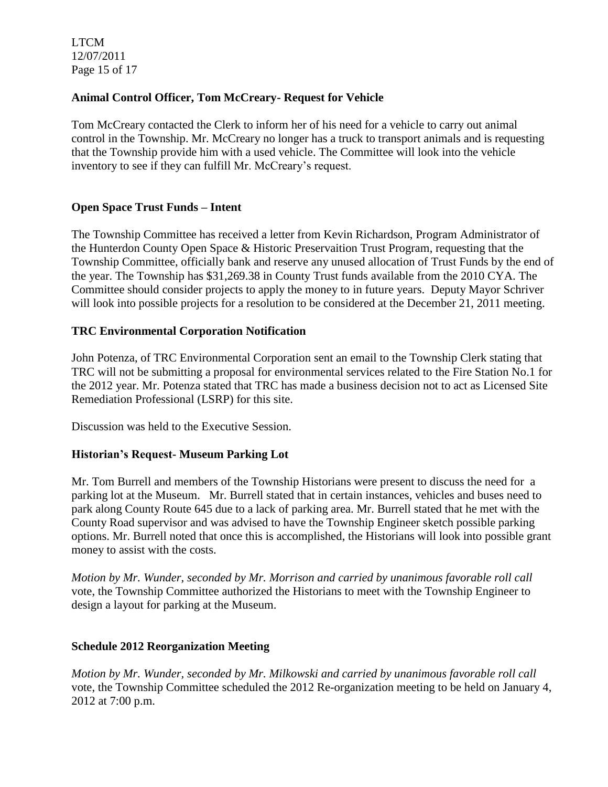LTCM 12/07/2011 Page 15 of 17

# **Animal Control Officer, Tom McCreary- Request for Vehicle**

Tom McCreary contacted the Clerk to inform her of his need for a vehicle to carry out animal control in the Township. Mr. McCreary no longer has a truck to transport animals and is requesting that the Township provide him with a used vehicle. The Committee will look into the vehicle inventory to see if they can fulfill Mr. McCreary's request.

# **Open Space Trust Funds – Intent**

The Township Committee has received a letter from Kevin Richardson, Program Administrator of the Hunterdon County Open Space & Historic Preservaition Trust Program, requesting that the Township Committee, officially bank and reserve any unused allocation of Trust Funds by the end of the year. The Township has \$31,269.38 in County Trust funds available from the 2010 CYA. The Committee should consider projects to apply the money to in future years. Deputy Mayor Schriver will look into possible projects for a resolution to be considered at the December 21, 2011 meeting.

# **TRC Environmental Corporation Notification**

John Potenza, of TRC Environmental Corporation sent an email to the Township Clerk stating that TRC will not be submitting a proposal for environmental services related to the Fire Station No.1 for the 2012 year. Mr. Potenza stated that TRC has made a business decision not to act as Licensed Site Remediation Professional (LSRP) for this site.

Discussion was held to the Executive Session.

#### **Historian's Request- Museum Parking Lot**

Mr. Tom Burrell and members of the Township Historians were present to discuss the need for a parking lot at the Museum. Mr. Burrell stated that in certain instances, vehicles and buses need to park along County Route 645 due to a lack of parking area. Mr. Burrell stated that he met with the County Road supervisor and was advised to have the Township Engineer sketch possible parking options. Mr. Burrell noted that once this is accomplished, the Historians will look into possible grant money to assist with the costs.

*Motion by Mr. Wunder, seconded by Mr. Morrison and carried by unanimous favorable roll call*  vote, the Township Committee authorized the Historians to meet with the Township Engineer to design a layout for parking at the Museum.

#### **Schedule 2012 Reorganization Meeting**

*Motion by Mr. Wunder, seconded by Mr. Milkowski and carried by unanimous favorable roll call*  vote, the Township Committee scheduled the 2012 Re-organization meeting to be held on January 4, 2012 at 7:00 p.m.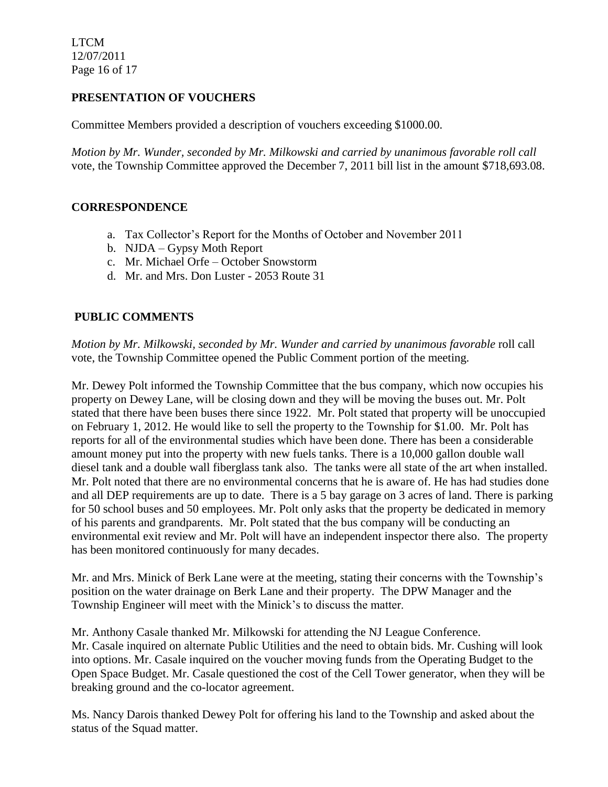LTCM 12/07/2011 Page 16 of 17

# **PRESENTATION OF VOUCHERS**

Committee Members provided a description of vouchers exceeding \$1000.00.

*Motion by Mr. Wunder, seconded by Mr. Milkowski and carried by unanimous favorable roll call*  vote, the Township Committee approved the December 7, 2011 bill list in the amount \$718,693.08.

# **CORRESPONDENCE**

- a. Tax Collector's Report for the Months of October and November 2011
- b. NJDA Gypsy Moth Report
- c. Mr. Michael Orfe October Snowstorm
- d. Mr. and Mrs. Don Luster 2053 Route 31

# **PUBLIC COMMENTS**

*Motion by Mr. Milkowski, seconded by Mr. Wunder and carried by unanimous favorable* roll call vote, the Township Committee opened the Public Comment portion of the meeting.

Mr. Dewey Polt informed the Township Committee that the bus company, which now occupies his property on Dewey Lane, will be closing down and they will be moving the buses out. Mr. Polt stated that there have been buses there since 1922. Mr. Polt stated that property will be unoccupied on February 1, 2012. He would like to sell the property to the Township for \$1.00. Mr. Polt has reports for all of the environmental studies which have been done. There has been a considerable amount money put into the property with new fuels tanks. There is a 10,000 gallon double wall diesel tank and a double wall fiberglass tank also. The tanks were all state of the art when installed. Mr. Polt noted that there are no environmental concerns that he is aware of. He has had studies done and all DEP requirements are up to date. There is a 5 bay garage on 3 acres of land. There is parking for 50 school buses and 50 employees. Mr. Polt only asks that the property be dedicated in memory of his parents and grandparents. Mr. Polt stated that the bus company will be conducting an environmental exit review and Mr. Polt will have an independent inspector there also. The property has been monitored continuously for many decades.

Mr. and Mrs. Minick of Berk Lane were at the meeting, stating their concerns with the Township's position on the water drainage on Berk Lane and their property. The DPW Manager and the Township Engineer will meet with the Minick's to discuss the matter.

Mr. Anthony Casale thanked Mr. Milkowski for attending the NJ League Conference. Mr. Casale inquired on alternate Public Utilities and the need to obtain bids. Mr. Cushing will look into options. Mr. Casale inquired on the voucher moving funds from the Operating Budget to the Open Space Budget. Mr. Casale questioned the cost of the Cell Tower generator, when they will be breaking ground and the co-locator agreement.

Ms. Nancy Darois thanked Dewey Polt for offering his land to the Township and asked about the status of the Squad matter.